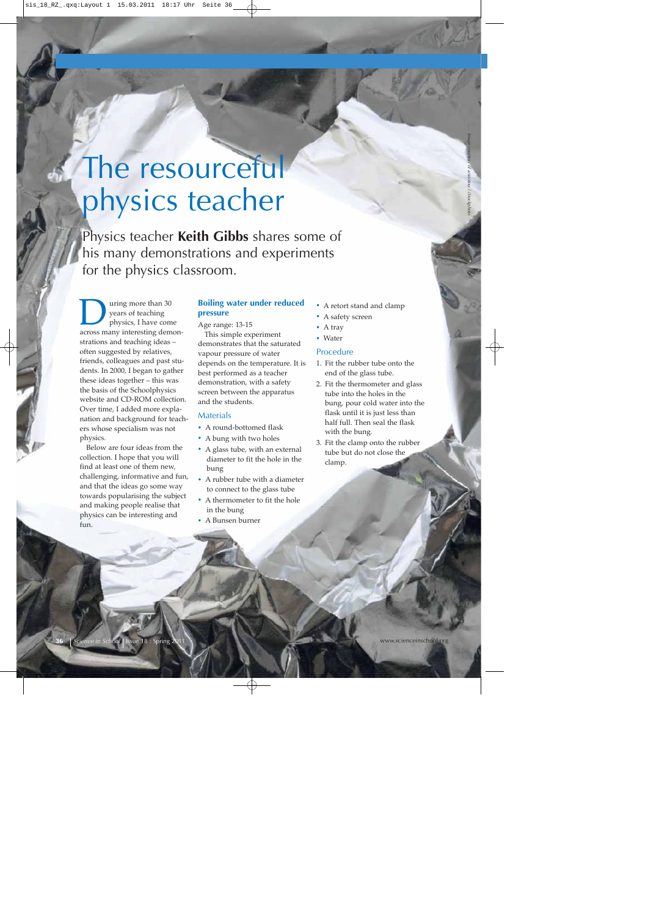# The resourceful physics teacher

Physics teacher **Keith Gibbs** shares some of his many demonstrations and experiments for the physics classroom.

**and Symbon** version of teaching<br>physics, I have come<br>across many interesting demonyears of teaching physics, I have come strations and teaching ideas – often suggested by relatives, friends, colleagues and past students. In 2000, I began to gather these ideas together – this was the basis of the Schoolphysics website and CD-ROM collection. Over time, I added more explanation and background for teachers whose specialism was not physics.

Below are four ideas from the collection. I hope that you will find at least one of them new, challenging, informative and fun, and that the ideas go some way towards popularising the subject and making people realise that physics can be interesting and fun.

# **Boiling water under reduced pressure**

Age range: 13-15

This simple experiment demonstrates that the saturated vapour pressure of water depends on the temperature. It is best performed as a teacher demonstration, with a safety screen between the apparatus and the students.

# **Materials**

- **·** A round-bottomed flask
- **·** A bung with two holes
- **·** A glass tube, with an external diameter to fit the hole in the bung
- **·** A rubber tube with a diameter to connect to the glass tube
- **·** A thermometer to fit the hole in the bung
- **·** A Bunsen burner

**·** A retort stand and clamp

*Image courtesy of aristotoo / iStockphoto*

- **·** A safety screen
- **·** A tray
- **·** Water

#### Procedure

- 1. Fit the rubber tube onto the end of the glass tube.
- 2. Fit the thermometer and glass tube into the holes in the bung, pour cold water into the flask until it is just less than half full. Then seal the flask with the bung.
- 3. Fit the clamp onto the rubber tube but do not close the clamp.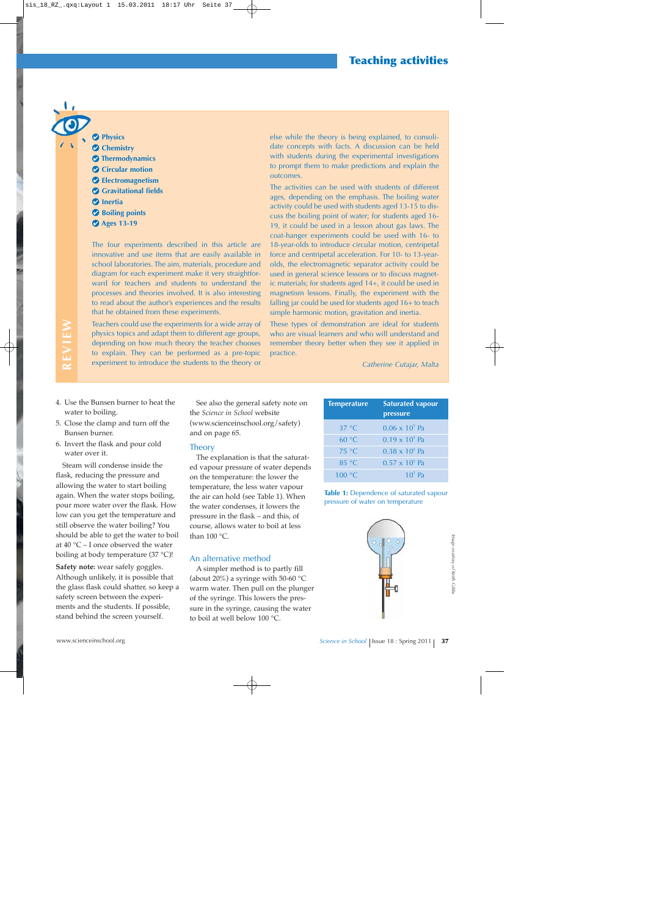# **Physics C** Chemistry **Thermodynamics Circular motion Electromagnetism Gravitational fields** *<u>D* Inertia</u> **Boiling points Ages 13-19**

The four experiments described in this article are innovative and use items that are easily available in school laboratories. The aim, materials, procedure and diagram for each experiment make it very straightforward for teachers and students to understand the processes and theories involved. It is also interesting to read about the author's experiences and the results that he obtained from these experiments.

Teachers could use the experiments for a wide array of physics topics and adapt them to different age groups, depending on how much theory the teacher chooses to explain. They can be performed as a pre-topic experiment to introduce the students to the theory or

else while the theory is being explained, to consolidate concepts with facts. A discussion can be held with students during the experimental investigations to prompt them to make predictions and explain the outcomes.

The activities can be used with students of different ages, depending on the emphasis. The boiling water activity could be used with students aged 13-15 to discuss the boiling point of water; for students aged 16- 19, it could be used in a lesson about gas laws. The coat-hanger experiments could be used with 16- to 18-year-olds to introduce circular motion, centripetal force and centripetal acceleration. For 10- to 13-yearolds, the electromagnetic separator activity could be used in general science lessons or to discuss magnetic materials; for students aged 14+, it could be used in magnetism lessons. Finally, the experiment with the falling jar could be used for students aged 16+ to teach simple harmonic motion, gravitation and inertia.

These types of demonstration are ideal for students who are visual learners and who will understand and remember theory better when they see it applied in practice.

*Catherine Cutajar, Malta*

4. Use the Bunsen burner to heat the water to boiling.

**REVIEW**

**REVIEW** 

- 5. Close the clamp and turn off the Bunsen burner.
- 6. Invert the flask and pour cold water over it.

Steam will condense inside the flask, reducing the pressure and allowing the water to start boiling again. When the water stops boiling, pour more water over the flask. How low can you get the temperature and still observe the water boiling? You should be able to get the water to boil at 40 °C – I once observed the water boiling at body temperature (37 °C)!

**Safety note:** wear safely goggles. Although unlikely, it is possible that the glass flask could shatter, so keep a safety screen between the experiments and the students. If possible, stand behind the screen yourself.

See also the general safety note on the *Science in School* website (www.scienceinschool.org/safety) and on page 65.

#### **Theory**

The explanation is that the saturated vapour pressure of water depends on the temperature: the lower the temperature, the less water vapour the air can hold (see Table 1). When the water condenses, it lowers the pressure in the flask – and this, of course, allows water to boil at less than 100 °C.

# An alternative method

A simpler method is to partly fill (about 20%) a syringe with 50-60  $^{\circ}$ C warm water. Then pull on the plunger of the syringe. This lowers the pressure in the syringe, causing the water to boil at well below 100 °C.

| Temperature    | <b>Saturated vapour</b><br>pressure |
|----------------|-------------------------------------|
| $37^{\circ}$ C | $0.06 \times 10^5$ Pa               |
| $60^{\circ}$ C | $0.19 \times 10^5$ Pa               |
| 75 °C          | $0.38 \times 10^5$ Pa               |
| $85^{\circ}$ C | $0.57 \times 10^5$ Pa               |
| 100 °C         | $10^5$ Pa                           |

**Table 1:** Dependence of saturated vapour pressure of water on temperature

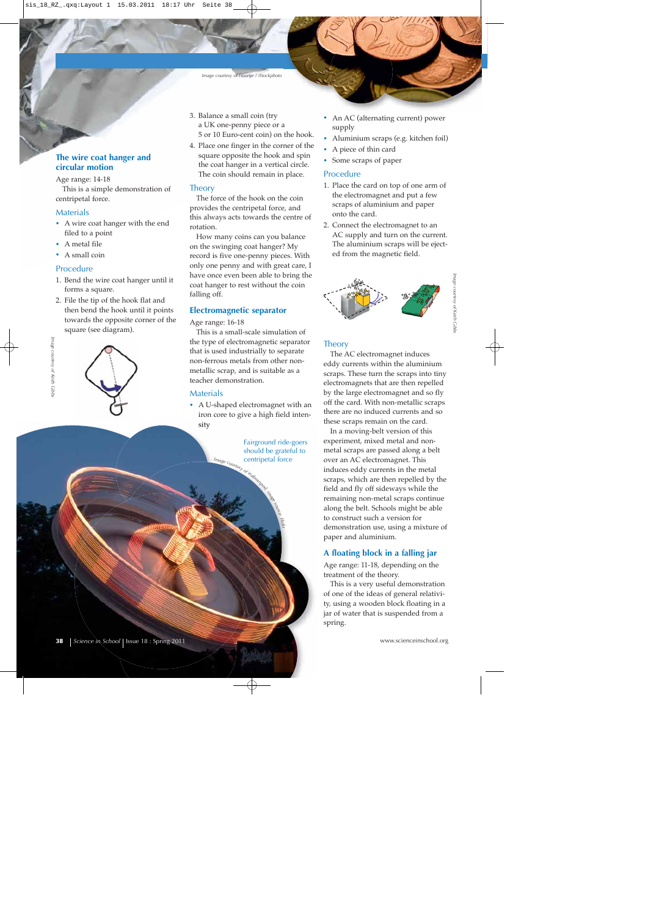#### *Image courtesy of Floortje / iStockphoto*

# **The wire coat hanger and circular motion**

Age range: 14-18

This is a simple demonstration of centripetal force.

#### Materials

- **·** A wire coat hanger with the end filed to a point
- **·** A metal file
- **·** A small coin

#### Procedure

- 1. Bend the wire coat hanger until it forms a square.
- 2. File the tip of the hook flat and then bend the hook until it points towards the opposite corner of the square (see diagram).



- 3. Balance a small coin (try a UK one-penny piece or a 5 or 10 Euro-cent coin) on the hook.
- 4. Place one finger in the corner of the square opposite the hook and spin the coat hanger in a vertical circle. The coin should remain in place.

#### **Theory**

The force of the hook on the coin provides the centripetal force, and this always acts towards the centre of rotation.

How many coins can you balance on the swinging coat hanger? My record is five one-penny pieces. With only one penny and with great care, I have once even been able to bring the coat hanger to rest without the coin falling off.

#### **Electromagnetic separator**

Age range: 16-18

This is a small-scale simulation of the type of electromagnetic separator that is used industrially to separate non-ferrous metals from other nonmetallic scrap, and is suitable as a teacher demonstration.

#### **Materials**

Image courte

**·** A U-shaped electromagnet with an iron core to give a high field intensity

> Fairground ride-goers should be grateful to centripetal force

> > *source: Flickr*

- **·** An AC (alternating current) power supply
- **·** Aluminium scraps (e.g. kitchen foil)
- **·** A piece of thin card
- **·** Some scraps of paper

# Procedure

- 1. Place the card on top of one arm of the electromagnet and put a few scraps of aluminium and paper onto the card.
- 2. Connect the electromagnet to an AC supply and turn on the current. The aluminium scraps will be ejected from the magnetic field.



*Image courtesy of Keith Gibbs* nage courtesy of Keith Cibb

## **Theory**

The AC electromagnet induces eddy currents within the aluminium scraps. These turn the scraps into tiny electromagnets that are then repelled by the large electromagnet and so fly off the card. With non-metallic scraps there are no induced currents and so these scraps remain on the card.

In a moving-belt version of this experiment, mixed metal and nonmetal scraps are passed along a belt over an AC electromagnet. This induces eddy currents in the metal scraps, which are then repelled by the field and fly off sideways while the remaining non-metal scraps continue along the belt. Schools might be able to construct such a version for demonstration use, using a mixture of paper and aluminium.

#### **A floating block in a falling jar**

Age range: 11-18, depending on the treatment of the theory.

This is a very useful demonstration of one of the ideas of general relativity, using a wooden block floating in a jar of water that is suspended from a spring.